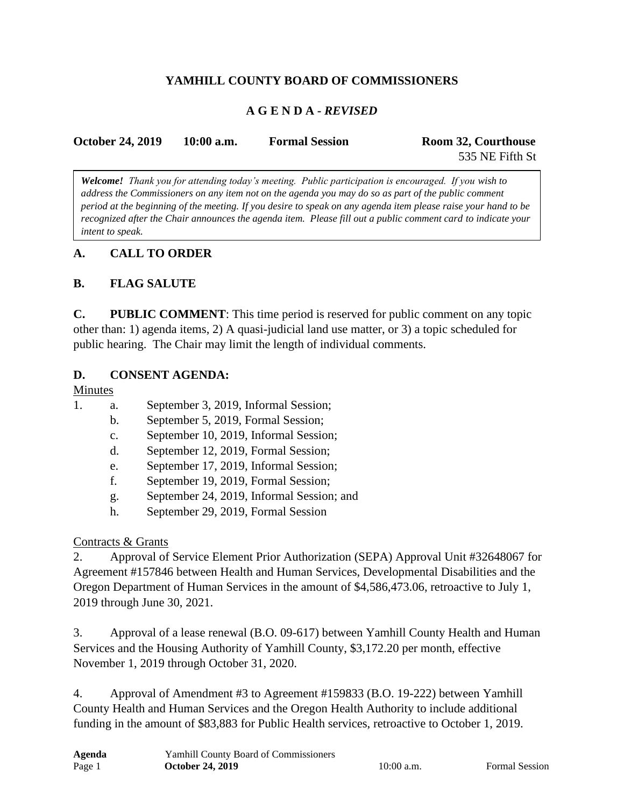# **YAMHILL COUNTY BOARD OF COMMISSIONERS**

### **A G E N D A -** *REVISED*

| <b>October 24, 2019</b> | $10:00$ a.m. | <b>Formal Session</b> | Room 32, Courthouse |
|-------------------------|--------------|-----------------------|---------------------|
|                         |              |                       | 535 NE Fifth St     |

*Welcome! Thank you for attending today's meeting. Public participation is encouraged. If you wish to address the Commissioners on any item not on the agenda you may do so as part of the public comment period at the beginning of the meeting. If you desire to speak on any agenda item please raise your hand to be recognized after the Chair announces the agenda item. Please fill out a public comment card to indicate your intent to speak.*

### **A. CALL TO ORDER**

### **B. FLAG SALUTE**

**C. PUBLIC COMMENT**: This time period is reserved for public comment on any topic other than: 1) agenda items, 2) A quasi-judicial land use matter, or 3) a topic scheduled for public hearing. The Chair may limit the length of individual comments.

#### **D. CONSENT AGENDA:**

#### Minutes

- 1. a. September 3, 2019, Informal Session;
	- b. September 5, 2019, Formal Session;
	- c. September 10, 2019, Informal Session;
	- d. September 12, 2019, Formal Session;
	- e. September 17, 2019, Informal Session;
	- f. September 19, 2019, Formal Session;
	- g. September 24, 2019, Informal Session; and
	- h. September 29, 2019, Formal Session

### Contracts & Grants

2. Approval of Service Element Prior Authorization (SEPA) Approval Unit #32648067 for Agreement #157846 between Health and Human Services, Developmental Disabilities and the Oregon Department of Human Services in the amount of \$4,586,473.06, retroactive to July 1, 2019 through June 30, 2021.

3. Approval of a lease renewal (B.O. 09-617) between Yamhill County Health and Human Services and the Housing Authority of Yamhill County, \$3,172.20 per month, effective November 1, 2019 through October 31, 2020.

4. Approval of Amendment #3 to Agreement #159833 (B.O. 19-222) between Yamhill County Health and Human Services and the Oregon Health Authority to include additional funding in the amount of \$83,883 for Public Health services, retroactive to October 1, 2019.